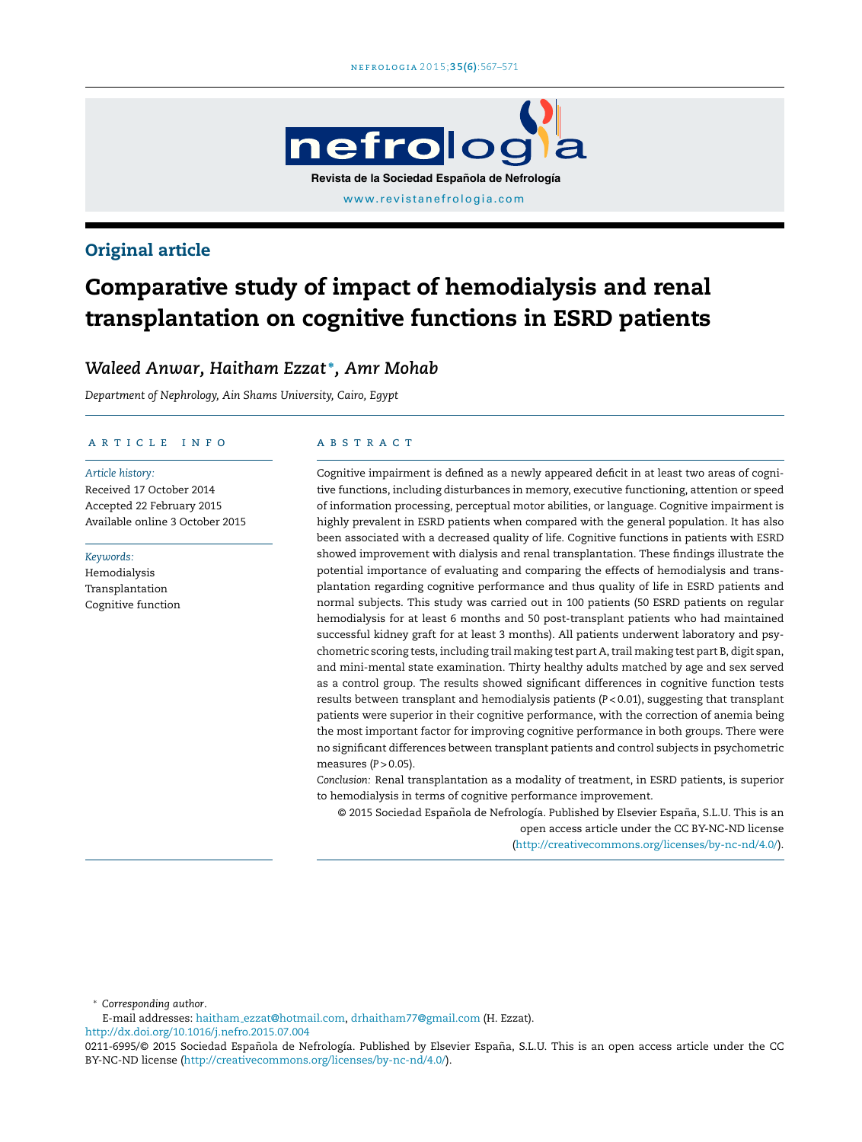

# Original article

# Comparative study of impact of hemodialysis and renal transplantation on cognitive functions in ESRD patients

# *Waleed Anwar, Haitham Ezzat* <sup>∗</sup> *, Amr Mohab*

*Department of Nephrology, Ain Shams University, Cairo, Egypt*

### ARTICLE INFO

*Article history:* Received 17 October 2014 Accepted 22 February 2015 Available online 3 October 2015

*Keywords:*

Hemodialysis Transplantation Cognitive function

#### A B S T R A C T

Cognitive impairment is defined as a newly appeared deficit in at least two areas of cognitive functions, including disturbances in memory, executive functioning, attention or speed of information processing, perceptual motor abilities, or language. Cognitive impairment is highly prevalent in ESRD patients when compared with the general population. It has also been associated with a decreased quality of life. Cognitive functions in patients with ESRD showed improvement with dialysis and renal transplantation. These findings illustrate the potential importance of evaluating and comparing the effects of hemodialysis and transplantation regarding cognitive performance and thus quality of life in ESRD patients and normal subjects. This study was carried out in 100 patients (50 ESRD patients on regular hemodialysis for at least 6 months and 50 post-transplant patients who had maintained successful kidney graft for at least 3 months). All patients underwent laboratory and psychometric scoring tests, including trail making test part A, trail making test part B, digit span, and mini-mental state examination. Thirty healthy adults matched by age and sex served as a control group. The results showed significant differences in cognitive function tests results between transplant and hemodialysis patients (*P* < 0.01), suggesting that transplant patients were superior in their cognitive performance, with the correction of anemia being the most important factor for improving cognitive performance in both groups. There were no significant differences between transplant patients and control subjects in psychometric measures (*P* > 0.05).

*Conclusion:* Renal transplantation as a modality of treatment, in ESRD patients, is superior to hemodialysis in terms of cognitive performance improvement.

@ 2015 Sociedad Española de Nefrología. Published by Elsevier España, S.L.U. This is an open access article under the CC BY-NC-ND license ([http://creativecommons.org/licenses/by-nc-nd/4.0/\)](http://creativecommons.org/licenses/by-nc-nd/4.0/).

<sup>∗</sup> *Corresponding author*.

E-mail addresses: haitham [ezzat@hotmail.com](mailto:haitham_ezzat@hotmail.com), [drhaitham77@gmail.com](mailto:drhaitham77@gmail.com) (H. Ezzat).

[http://dx.doi.org/10.1016/j.nefro.2015.07.004](dx.doi.org/10.1016/j.nefro.2015.07.004)

<sup>0211-6995/© 2015</sup> Sociedad Española de Nefrología. Published by Elsevier España, S.L.U. This is an open access article under the CC BY-NC-ND license (<http://creativecommons.org/licenses/by-nc-nd/4.0/>).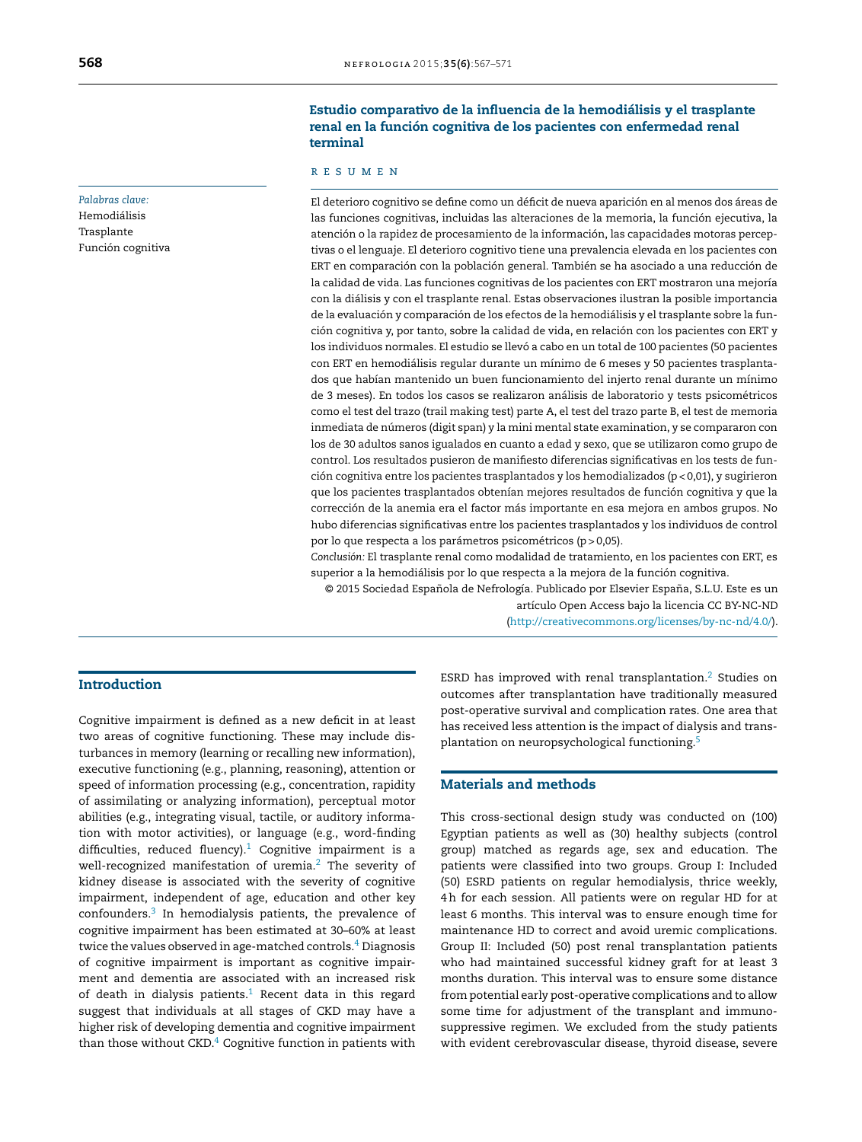*Palabras clave:*

Hemodiálisis Trasplante Función cognitiva

# Estudio comparativo de la influencia de la hemodiálisis y el trasplante renal en la función cognitiva de los pacientes con enfermedad renal terminal

# r e s u m e n

El deterioro cognitivo se define como un déficit de nueva aparición en al menos dos áreas de las funciones cognitivas, incluidas las alteraciones de la memoria, la función ejecutiva, la atención o la rapidez de procesamiento de la información, las capacidades motoras perceptivas o el lenguaje. El deterioro cognitivo tiene una prevalencia elevada en los pacientes con ERT en comparación con la población general. También se ha asociado a una reducción de la calidad de vida. Las funciones cognitivas de los pacientes con ERT mostraron una mejoría con la diálisis y con el trasplante renal. Estas observaciones ilustran la posible importancia de la evaluación y comparación de los efectos de la hemodiálisis y el trasplante sobre la función cognitiva y, por tanto, sobre la calidad de vida, en relación con los pacientes con ERT y los individuos normales. El estudio se llevó a cabo en un total de 100 pacientes (50 pacientes con ERT en hemodiálisis regular durante un mínimo de 6 meses y 50 pacientes trasplantados que habían mantenido un buen funcionamiento del injerto renal durante un mínimo de 3 meses). En todos los casos se realizaron análisis de laboratorio y tests psicométricos como el test del trazo (trail making test) parte A, el test del trazo parte B, el test de memoria inmediata de números (digit span) y la mini mental state examination, y se compararon con los de 30 adultos sanos igualados en cuanto a edad y sexo, que se utilizaron como grupo de control. Los resultados pusieron de manifiesto diferencias significativas en los tests de función cognitiva entre los pacientes trasplantados y los hemodializados (p < 0,01), y sugirieron que los pacientes trasplantados obtenían mejores resultados de función cognitiva y que la corrección de la anemia era el factor más importante en esa mejora en ambos grupos. No hubo diferencias significativas entre los pacientes trasplantados y los individuos de control por lo que respecta a los parámetros psicométricos (p > 0,05).

*Conclusión:* El trasplante renal como modalidad de tratamiento, en los pacientes con ERT, es superior a la hemodiálisis por lo que respecta a la mejora de la función cognitiva.

© 2015 Sociedad Espanola ˜ de Nefrología. Publicado por Elsevier España, S.L.U. Este es un

artículo Open Access bajo la licencia CC BY-NC-ND ([http://creativecommons.org/licenses/by-nc-nd/4.0/\)](http://creativecommons.org/licenses/by-nc-nd/4.0/).

# Introduction

Cognitive impairment is defined as a new deficit in at least two areas of cognitive functioning. These may include disturbances in memory (learning or recalling new information), executive functioning (e.g., planning, reasoning), attention or speed of information processing (e.g., concentration, rapidity of assimilating or analyzing information), perceptual motor abilities (e.g., integrating visual, tactile, or auditory information with motor activities), or language (e.g., word-finding difficulties, reduced fluency). $1$  Cognitive impairment is a well-recognized manifestation of uremia.<sup>[2](#page-4-0)</sup> The severity of kidney disease is associated with the severity of cognitive impairment, independent of age, education and other key confounders.[3](#page-4-0) In hemodialysis patients, the prevalence of cognitive impairment has been estimated at 30–60% at least twice the values observed in age-matched controls. $4$  Diagnosis of cognitive impairment is important as cognitive impairment and dementia are associated with an increased risk of death in dialysis patients.<sup>[1](#page-4-0)</sup> Recent data in this regard suggest that individuals at all stages of CKD may have a higher risk of developing dementia and cognitive impairment than those without [C](#page-4-0)KD. $4$  Cognitive function in patients with ESRD has improved with renal transplantation.[2](#page-4-0) Studies on outcomes after transplantation have traditionally measured post-operative survival and complication rates. One area that has received less attention is the impact of dialysis and transplantation on neuropsychological functioning.[5](#page-4-0)

### Materials and methods

This cross-sectional design study was conducted on (100) Egyptian patients as well as (30) healthy subjects (control group) matched as regards age, sex and education. The patients were classified into two groups. Group I: Included (50) ESRD patients on regular hemodialysis, thrice weekly, 4h for each session. All patients were on regular HD for at least 6 months. This interval was to ensure enough time for maintenance HD to correct and avoid uremic complications. Group II: Included (50) post renal transplantation patients who had maintained successful kidney graft for at least 3 months duration. This interval was to ensure some distance from potential early post-operative complications and to allow some time for adjustment of the transplant and immunosuppressive regimen. We excluded from the study patients with evident cerebrovascular disease, thyroid disease, severe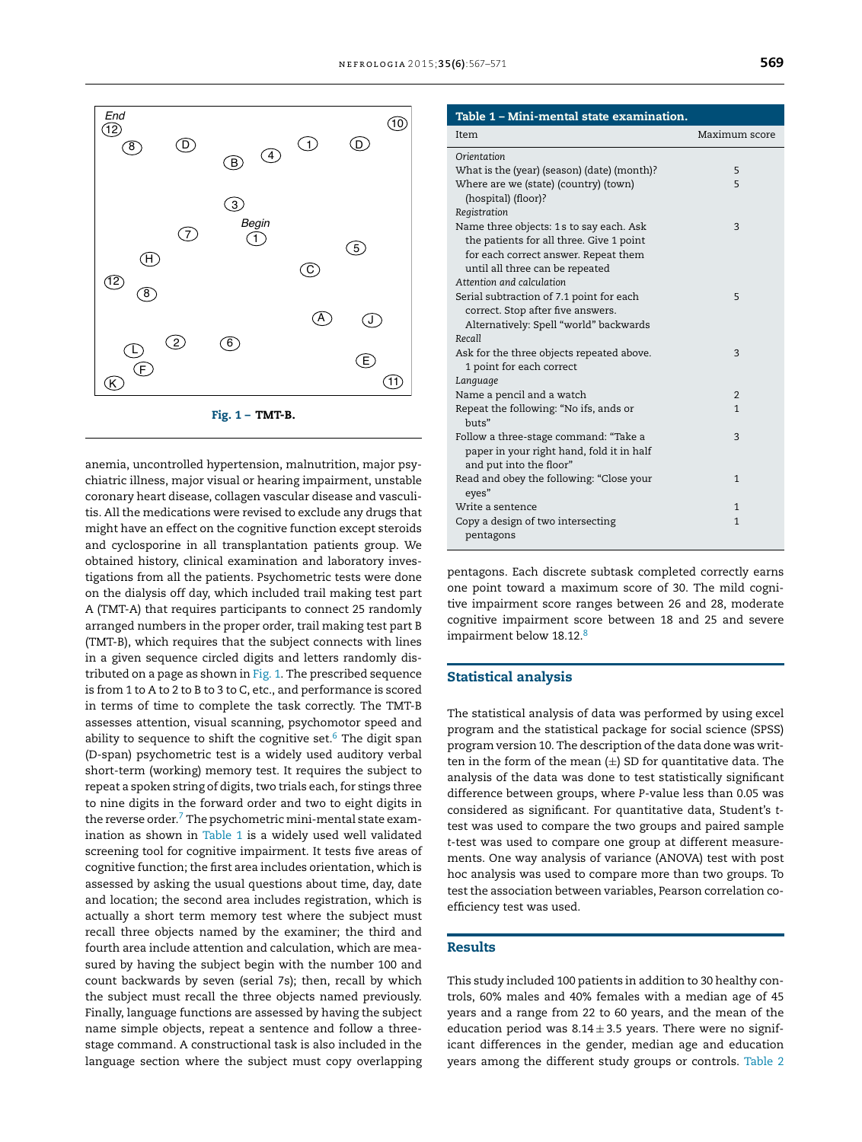

anemia, uncontrolled hypertension, malnutrition, major psychiatric illness, major visual or hearing impairment, unstable coronary heart disease, collagen vascular disease and vasculitis. All the medications were revised to exclude any drugs that might have an effect on the cognitive function except steroids and cyclosporine in all transplantation patients group. We obtained history, clinical examination and laboratory investigations from all the patients. Psychometric tests were done on the dialysis off day, which included trail making test part A (TMT-A) that requires participants to connect 25 randomly arranged numbers in the proper order, trail making test part B (TMT-B), which requires that the subject connects with lines in a given sequence circled digits and letters randomly distributed on a page as shown in Fig. 1. The prescribed sequence is from 1 to A to 2 to B to 3 to C, etc., and performance is scored in terms of time to complete the task correctly. The TMT-B assesses attention, visual scanning, psychomotor speed and ability to sequence to shift the cognitive set. $6$  The digit span (D-span) psychometric test is a widely used auditory verbal short-term (working) memory test. It requires the subject to repeat a spoken string of digits, two trials each, for stings three to nine digits in the forward order and two to eight digits in the reverse order. $7$  [T](#page-4-0)he psychometric mini-mental state examination as shown in Table 1 is a widely used well validated screening tool for cognitive impairment. It tests five areas of cognitive function; the first area includes orientation, which is assessed by asking the usual questions about time, day, date and location; the second area includes registration, which is actually a short term memory test where the subject must recall three objects named by the examiner; the third and fourth area include attention and calculation, which are measured by having the subject begin with the number 100 and count backwards by seven (serial 7s); then, recall by which the subject must recall the three objects named previously. Finally, language functions are assessed by having the subject name simple objects, repeat a sentence and follow a threestage command. A constructional task is also included in the language section where the subject must copy overlapping

| Table 1 - Mini-mental state examination.                                                                                                                       |                |  |  |  |  |
|----------------------------------------------------------------------------------------------------------------------------------------------------------------|----------------|--|--|--|--|
| Item                                                                                                                                                           | Maximum score  |  |  |  |  |
| Orientation                                                                                                                                                    |                |  |  |  |  |
| What is the (year) (season) (date) (month)?                                                                                                                    | 5              |  |  |  |  |
| Where are we (state) (country) (town)<br>(hospital) (floor)?                                                                                                   | 5              |  |  |  |  |
| Registration                                                                                                                                                   |                |  |  |  |  |
| Name three objects: 1s to say each. Ask<br>the patients for all three. Give 1 point<br>for each correct answer. Repeat them<br>until all three can be repeated | 3              |  |  |  |  |
| Attention and calculation                                                                                                                                      |                |  |  |  |  |
| Serial subtraction of 7.1 point for each<br>correct. Stop after five answers.<br>Alternatively: Spell "world" backwards                                        | 5              |  |  |  |  |
| Recall                                                                                                                                                         |                |  |  |  |  |
| Ask for the three objects repeated above.<br>1 point for each correct                                                                                          | 3              |  |  |  |  |
| Language<br>Name a pencil and a watch                                                                                                                          | $\overline{2}$ |  |  |  |  |
| Repeat the following: "No ifs, ands or<br>huts"                                                                                                                | $\mathbf{1}$   |  |  |  |  |
| Follow a three-stage command: "Take a<br>paper in your right hand, fold it in half<br>and put into the floor"                                                  | 3              |  |  |  |  |
| Read and obey the following: "Close your<br>eyes"                                                                                                              | $\mathbf{1}$   |  |  |  |  |
| Write a sentence                                                                                                                                               | $\mathbf{1}$   |  |  |  |  |
| Copy a design of two intersecting<br>pentagons                                                                                                                 | $\mathbf{1}$   |  |  |  |  |

pentagons. Each discrete subtask completed correctly earns one point toward a maximum score of 30. The mild cognitive impairment score ranges between 26 and 28, moderate cognitive impairment score between 18 and 25 and severe impairment below 1[8](#page-4-0).12.<sup>8</sup>

#### Statistical analysis

The statistical analysis of data was performed by using excel program and the statistical package for social science (SPSS) program version 10. The description of the data done was written in the form of the mean  $(\pm)$  SD for quantitative data. The analysis of the data was done to test statistically significant difference between groups, where *P*-value less than 0.05 was considered as significant. For quantitative data, Student's *t*test was used to compare the two groups and paired sample *t*-test was used to compare one group at different measurements. One way analysis of variance (ANOVA) test with post hoc analysis was used to compare more than two groups. To test the association between variables, Pearson correlation coefficiency test was used.

### Results

This study included 100 patients in addition to 30 healthy controls, 60% males and 40% females with a median age of 45 years and a range from 22 to 60 years, and the mean of the education period was  $8.14 \pm 3.5$  years. There were no significant differences in the gender, median age and education years among the different study groups or controls. [Table](#page-3-0) 2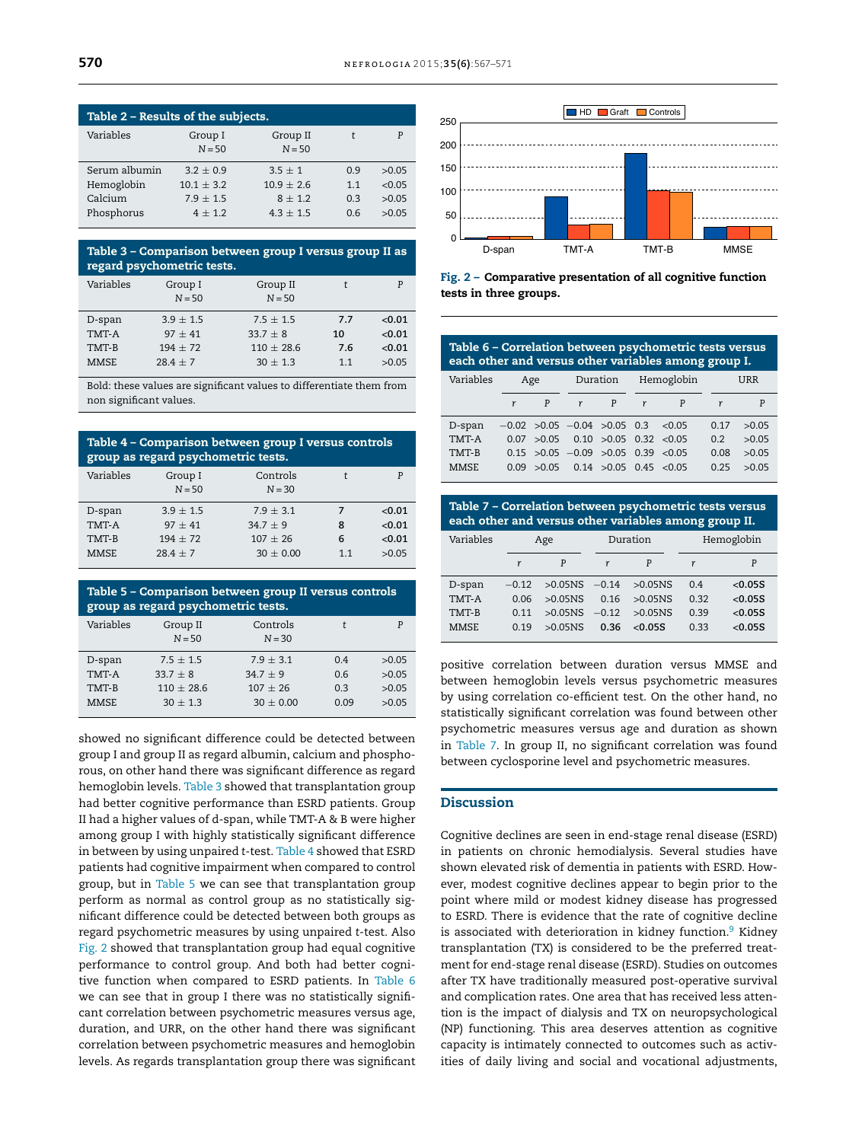<span id="page-3-0"></span>

| Table 2 – Results of the subjects. |                     |                      |     |        |  |  |
|------------------------------------|---------------------|----------------------|-----|--------|--|--|
| Variables                          | Group I<br>$N = 50$ | Group II<br>$N = 50$ | t   | P      |  |  |
| Serum albumin                      | $3.2 + 0.9$         | $3.5 + 1$            | 09  | >0.05  |  |  |
| Hemoglobin                         | $10.1 + 3.2$        | $10.9 + 2.6$         | 1.1 | < 0.05 |  |  |
| Calcium                            | $7.9 + 1.5$         | $8 + 1.2$            | 0.3 | >0.05  |  |  |
| Phosphorus                         | $4 + 1.2$           | $4.3 + 1.5$          | 0.6 | >0.05  |  |  |

| Table 3 - Comparison between group I versus group II as<br>regard psychometric tests. |             |              |     |        |  |
|---------------------------------------------------------------------------------------|-------------|--------------|-----|--------|--|
| Variables                                                                             | Group I     | Group II     | t   | P      |  |
|                                                                                       | $N = 50$    | $N = 50$     |     |        |  |
| D-span                                                                                | $3.9 + 1.5$ | $7.5 + 1.5$  | 7.7 | < 0.01 |  |
| TMT-A                                                                                 | $97 + 41$   | $33.7 + 8$   | 10  | < 0.01 |  |
| TMT-B                                                                                 | $194 + 72$  | $110 + 28.6$ | 7.6 | < 0.01 |  |
| <b>MMSE</b>                                                                           | $28.4 + 7$  | $30 + 1.3$   | 11  | >0.05  |  |

Bold: these values are significant values to differentiate them from non significant values.

| Table 4 – Comparison between group I versus controls<br>group as regard psychometric tests. |                     |                      |    |        |  |
|---------------------------------------------------------------------------------------------|---------------------|----------------------|----|--------|--|
| Variables                                                                                   | Group I<br>$N = 50$ | Controls<br>$N = 30$ |    | P      |  |
| D-span                                                                                      | $3.9 \pm 1.5$       | $7.9 + 3.1$          | 7  | < 0.01 |  |
| TMT-A                                                                                       | $97 + 41$           | $34.7 + 9$           | 8  | < 0.01 |  |
| TMT-B                                                                                       | $194 + 72$          | $107 + 26$           | 6  | < 0.01 |  |
| <b>MMSE</b>                                                                                 | $28.4 + 7$          | $30 \pm 0.00$        | 11 | >0.05  |  |

| Table 5 – Comparison between group II versus controls<br>group as regard psychometric tests. |                      |                      |      |       |  |
|----------------------------------------------------------------------------------------------|----------------------|----------------------|------|-------|--|
| Variables                                                                                    | Group II<br>$N = 50$ | Controls<br>$N = 30$ | t    | P     |  |
| D-span                                                                                       | $7.5 + 1.5$          | $7.9 + 3.1$          | 0.4  | >0.05 |  |
| TMT-A                                                                                        | $33.7 + 8$           | $34.7 + 9$           | 06   | >0.05 |  |
| TMT-B                                                                                        | $110 + 28.6$         | $107 + 26$           | 0.3  | >0.05 |  |
| <b>MMSE</b>                                                                                  | $30 + 1.3$           | $30 \pm 0.00$        | 0.09 | >0.05 |  |

showed no significant difference could be detected between group I and group II as regard albumin, calcium and phosphorous, on other hand there was significant difference as regard hemoglobin levels. Table 3 showed that transplantation group had better cognitive performance than ESRD patients. Group II had a higher values of d-span, while TMT-A & B were higher among group I with highly statistically significant difference in between by using unpaired *t*-test. Table 4 showed that ESRD patients had cognitive impairment when compared to control group, but in Table 5 we can see that transplantation group perform as normal as control group as no statistically significant difference could be detected between both groups as regard psychometric measures by using unpaired *t*-test. Also Fig. 2 showed that transplantation group had equal cognitive performance to control group. And both had better cognitive function when compared to ESRD patients. In Table 6 we can see that in group I there was no statistically significant correlation between psychometric measures versus age, duration, and URR, on the other hand there was significant correlation between psychometric measures and hemoglobin levels. As regards transplantation group there was significant



Fig. 2 – Comparative presentation of all cognitive function tests in three groups.

| Table 6 - Correlation between psychometric tests versus<br>each other and versus other variables among group I. |                 |             |                                              |                           |     |       |      |       |
|-----------------------------------------------------------------------------------------------------------------|-----------------|-------------|----------------------------------------------|---------------------------|-----|-------|------|-------|
| Variables                                                                                                       | Duration<br>Age |             | Hemoglobin                                   |                           | URR |       |      |       |
|                                                                                                                 |                 | P           | r                                            | P                         | r   | P     | r    | P     |
| D-span                                                                                                          |                 |             | $-0.02$ $>0.05$ $-0.04$ $>0.05$ 0.3          |                           |     | <0.05 | 0.17 | >0.05 |
| TMT-A                                                                                                           |                 |             | $0.07 > 0.05$ 0.10 $>0.05$ 0.32 < 0.05       |                           |     |       | 0.2  | >0.05 |
| TMT-B                                                                                                           |                 |             | $0.15$ $>0.05$ $-0.09$ $>0.05$ 0.39 $< 0.05$ |                           |     |       | 0.08 | >0.05 |
| <b>MMSE</b>                                                                                                     |                 | 0.09 > 0.05 |                                              | $0.14 > 0.05$ 0.45 < 0.05 |     |       | 0.25 | >0.05 |

| Table 7 – Correlation between psychometric tests versus<br>each other and versus other variables among group II. |         |            |          |         |            |         |
|------------------------------------------------------------------------------------------------------------------|---------|------------|----------|---------|------------|---------|
| Variables                                                                                                        | Age     |            | Duration |         | Hemoglobin |         |
|                                                                                                                  | r       | P          | r        | P       | r          | P       |
| D-span                                                                                                           | $-0.12$ | >0.05NS    | $-0.14$  | >0.05NS | 04         | < 0.05S |
| TMT-A                                                                                                            | 0.06    | $>0.05$ NS | 0.16     | >0.05NS | 0.32       | < 0.05S |
| TMT-B                                                                                                            | 0.11    | $>0.05$ NS | $-0.12$  | >0.05NS | 0.39       | < 0.05S |
| <b>MMSE</b>                                                                                                      | 0.19    | $>0.05N$ S | 0.36     | &0.05S  | 0.33       | < 0.05S |

positive correlation between duration versus MMSE and between hemoglobin levels versus psychometric measures by using correlation co-efficient test. On the other hand, no statistically significant correlation was found between other psychometric measures versus age and duration as shown in Table 7. In group II, no significant correlation was found between cyclosporine level and psychometric measures.

## **Discussion**

Cognitive declines are seen in end-stage renal disease (ESRD) in patients on chronic hemodialysis. Several studies have shown elevated risk of dementia in patients with ESRD. However, modest cognitive declines appear to begin prior to the point where mild or modest kidney disease has progressed to ESRD. There is evidence that the rate of cognitive decline is associated with deterioration in kidney function.<sup>[9](#page-4-0)</sup> Kidney transplantation (TX) is considered to be the preferred treatment for end-stage renal disease (ESRD). Studies on outcomes after TX have traditionally measured post-operative survival and complication rates. One area that has received less attention is the impact of dialysis and TX on neuropsychological (NP) functioning. This area deserves attention as cognitive capacity is intimately connected to outcomes such as activities of daily living and social and vocational adjustments,